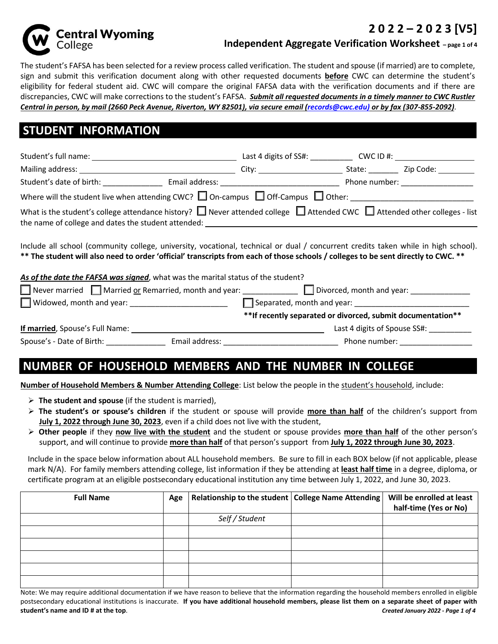

### **2 0 2 2 – 2 0 2 3 [V5]**

#### **Independent Aggregate Verification Worksheet – page 1 of 4**

The student's FAFSA has been selected for a review process called verification. The student and spouse (if married) are to complete, sign and submit this verification document along with other requested documents **before** CWC can determine the student's eligibility for federal student aid. CWC will compare the original FAFSA data with the verification documents and if there are discrepancies, CWC will make corrections to the student's FAFSA. *Submit all requested documents in a timely manner to CWC Rustler Central in person, by mail (2660 Peck Avenue, Riverton, WY 82501), via secure email (records@cwc.edu) or by fax (307-855-2092)*.

## **STUDENT INFORMATION**

| Student's full name: _____                                                                                                                                                                       | Last 4 digits of SS#:                                                                                                                                                                                                          | CWC ID #: |                                      |
|--------------------------------------------------------------------------------------------------------------------------------------------------------------------------------------------------|--------------------------------------------------------------------------------------------------------------------------------------------------------------------------------------------------------------------------------|-----------|--------------------------------------|
|                                                                                                                                                                                                  | City: the contract of the contract of the contract of the contract of the contract of the contract of the contract of the contract of the contract of the contract of the contract of the contract of the contract of the cont | State:    | Zip Code:                            |
| Student's date of birth:                                                                                                                                                                         | Email address: The control of the control of the control of the control of the control of the control of the control of the control of the control of the control of the control of the control of the control of the control  |           | Phone number: National Phone number: |
| Where will the student live when attending CWC? $\Box$ On-campus $\Box$ Off-Campus $\Box$ Other:                                                                                                 |                                                                                                                                                                                                                                |           |                                      |
| What is the student's college attendance history? $\Box$ Never attended college $\Box$ Attended CWC $\Box$ Attended other colleges - list<br>the name of college and dates the student attended: |                                                                                                                                                                                                                                |           |                                      |

Include all school (community college, university, vocational, technical or dual / concurrent credits taken while in high school). **\*\* The student will also need to order 'official' transcripts from each of those schools / colleges to be sent directly to CWC. \*\***

#### *As of the date the FAFSA was signed*, what was the marital status of the student?

| Never married $\Box$ Married or Remarried, month and year: | Divorced, month and year:                                    |
|------------------------------------------------------------|--------------------------------------------------------------|
| $\Box$ Widowed, month and year:                            | Separated, month and year:                                   |
|                                                            | ** If recently separated or divorced, submit documentation** |
| If married, Spouse's Full Name:                            | Last 4 digits of Spouse SS#:                                 |
| Spouse's - Date of Birth:<br>Email address:                | Phone number:                                                |

## **NUMBER OF HOUSEHOLD MEMBERS AND THE NUMBER IN COLLEGE**

**Number of Household Members & Number Attending College**: List below the people in the student's household, include:

- **The student and spouse** (if the student is married),
- **The student's or spouse's children** if the student or spouse will provide **more than half** of the children's support from **July 1, 2022 through June 30, 2023**, even if a child does not live with the student,
- **Other people** if they **now live with the student** and the student or spouse provides **more than half** of the other person's support, and will continue to provide **more than half** of that person's support from **July 1, 2022 through June 30, 2023**.

Include in the space below information about ALL household members. Be sure to fill in each BOX below (if not applicable, please mark N/A). For family members attending college, list information if they be attending at **least half time** in a degree, diploma, or certificate program at an eligible postsecondary educational institution any time between July 1, 2022, and June 30, 2023.

| <b>Full Name</b> | Age | Relationship to the student   College Name Attending | Will be enrolled at least<br>half-time (Yes or No) |
|------------------|-----|------------------------------------------------------|----------------------------------------------------|
|                  |     | Self / Student                                       |                                                    |
|                  |     |                                                      |                                                    |
|                  |     |                                                      |                                                    |
|                  |     |                                                      |                                                    |
|                  |     |                                                      |                                                    |
|                  |     |                                                      |                                                    |

Note: We may require additional documentation if we have reason to believe that the information regarding the household members enrolled in eligible postsecondary educational institutions is inaccurate. **If you have additional household members, please list them on a separate sheet of paper with student's name and ID # at the top**. *Created January 2022 - Page 1 of 4*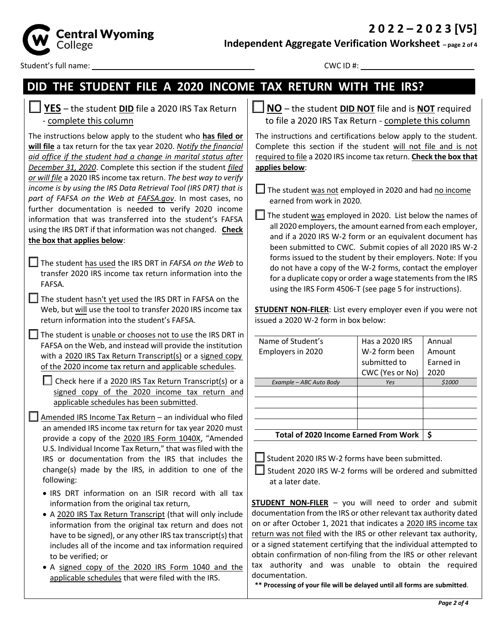**2 0 2 2 – 2 0 2 3 [V5]**



**Independent Aggregate Verification Worksheet – page 2 of 4**

Student's full name: CWC ID #:

# **DID THE STUDENT FILE A 2020 INCOME TAX RETURN WITH THE IRS?**

| $\Box$ YES - the student DID file a 2020 IRS Tax Return |  |
|---------------------------------------------------------|--|
| - complete this column                                  |  |

The instructions below apply to the student who **has filed or will file** a tax return for the tax year 2020. *Notify the financial aid office if the student had a change in marital status after December 31, 2020*. Complete this section if the student *filed or will file* a 2020 IRS income tax return. *The best way to verify income is by using the IRS Data Retrieval Tool (IRS DRT) that is part of FAFSA on the Web at FAFSA.gov*. In most cases, no further documentation is needed to verify 2020 income information that was transferred into the student's FAFSA using the IRS DRT if that information was not changed. **Check the box that applies below**:

- The student has used the IRS DRT in *FAFSA on the Web* to transfer 2020 IRS income tax return information into the FAFSA*.*
- The student hasn't yet used the IRS DRT in FAFSA on the Web, but will use the tool to transfer 2020 IRS income tax return information into the student's FAFSA.

 $\Box$  The student is unable or chooses not to use the IRS DRT in FAFSA on the Web, and instead will provide the institution with a 2020 IRS Tax Return Transcript(s) or a signed copy of the 2020 income tax return and applicable schedules.

 $\Box$  Check here if a 2020 IRS Tax Return Transcript(s) or a signed copy of the 2020 income tax return and applicable schedules has been submitted.

- $\Box$  Amended IRS Income Tax Return an individual who filed an amended IRS income tax return for tax year 2020 must provide a copy of the 2020 IRS Form 1040X, "Amended U.S. Individual Income Tax Return," that wasfiled with the IRS or documentation from the IRS that includes the change(s) made by the IRS, in addition to one of the following:
	- IRS DRT information on an ISIR record with all tax information from the original tax return,
	- A 2020 IRS Tax Return Transcript (that will only include information from the original tax return and does not have to be signed), or any other IRS tax transcript(s) that includes all of the income and tax information required to be verified; or
	- A signed copy of the 2020 IRS Form 1040 and the applicable schedules that were filed with the IRS.

**NO** – the student **DID NOT** file and is **NOT** required to file a 2020 IRS Tax Return - complete this column

The instructions and certifications below apply to the student. Complete this section if the student will not file and is not required to file a 2020 IRS income tax return. **Check the box that applies below**:

 $\Box$  The student was not employed in 2020 and had no income earned from work in 2020*.*

 $\Box$  The student was employed in 2020. List below the names of all 2020 employers, the amount earned from each employer, and if a 2020 IRS W-2 form or an equivalent document has been submitted to CWC. Submit copies of all 2020 IRS W-2 forms issued to the student by their employers. Note: If you do not have a copy of the W-2 forms, contact the employer for a duplicate copy or order a wage statements from the IRS using the IRS Form 4506-T (see page 5 for instructions).

**STUDENT NON-FILER**: List every employer even if you were not issued a 2020 W-2 form in box below:

| Name of Student's                            | Has a 2020 IRS  | Annual    |
|----------------------------------------------|-----------------|-----------|
| Employers in 2020                            | W-2 form been   | Amount    |
|                                              | submitted to    | Earned in |
|                                              | CWC (Yes or No) | 2020      |
| Example - ABC Auto Body                      | Yes             | \$1000    |
|                                              |                 |           |
|                                              |                 |           |
|                                              |                 |           |
|                                              |                 |           |
| <b>Total of 2020 Income Earned From Work</b> | \$              |           |

 $\Box$  Student 2020 IRS W-2 forms have been submitted.

 Student 2020 IRS W-2 forms will be ordered and submitted at a later date.

**STUDENT NON-FILER** – you will need to order and submit documentation from the IRS or other relevant tax authority dated on or after October 1, 2021 that indicates a 2020 IRS income tax return was not filed with the IRS or other relevant tax authority, or a signed statement certifying that the individual attempted to obtain confirmation of non-filing from the IRS or other relevant tax authority and was unable to obtain the required documentation.

**\*\* Processing of your file will be delayed until all forms are submitted**.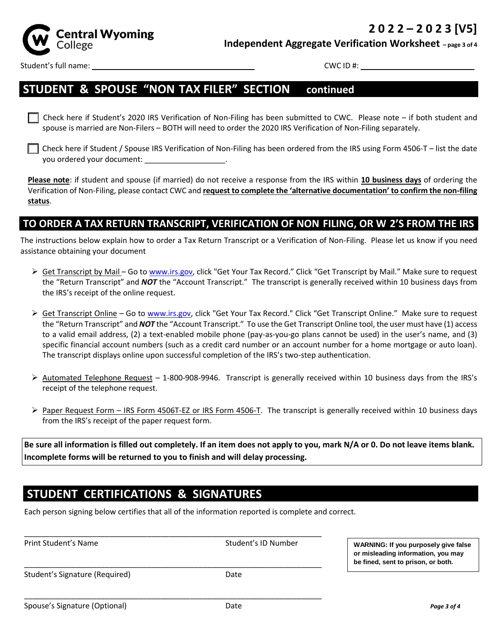

**Independent Aggregate Verification Worksheet – page 3 of 4**

Student's full name: CWC ID #:

### **STUDENT & SPOUSE "NON-TAX FILER" SECTION – continued**

 Check here if Student's 2020 IRS Verification of Non-Filing has been submitted to CWC. Please note – if both student and spouse is married are Non-Filers – BOTH will need to order the 2020 IRS Verification of Non-Filing separately.

 Check here if Student / Spouse IRS Verification of Non-Filing has been ordered from the IRS using Form 4506-T – list the date you ordered your document: \_\_\_\_\_\_\_\_\_\_\_\_\_\_\_\_\_\_\_.

**Please note**: if student and spouse (if married) do not receive a response from the IRS within **10 business days** of ordering the Verification of Non-Filing, please contact CWC and **request to complete the 'alternative documentation' to confirm the non-filing status**.

### **TO ORDER A TAX RETURN TRANSCRIPT, VERIFICATION OF NON-FILING, OR W-2'S FROM THE IRS**

The instructions below explain how to order a Tax Return Transcript or a Verification of Non-Filing. Please let us know if you need assistance obtaining your document

- ► Get Transcript by Mail Go to www.irs.gov, click "Get Your Tax Record." Click "Get Transcript by Mail." Make sure to request the "Return Transcript" and *NOT* the "Account Transcript." The transcript is generally received within 10 business days from the IRS's receipt of the online request.
- ▶ Get Transcript Online Go to www.irs.gov, click "Get Your Tax Record." Click "Get Transcript Online." Make sure to request the "Return Transcript" and *NOT* the "Account Transcript." To use the Get Transcript Online tool, the user must have (1) access to a valid email address, (2) a text-enabled mobile phone (pay-as-you-go plans cannot be used) in the user's name, and (3) specific financial account numbers (such as a credit card number or an account number for a home mortgage or auto loan). The transcript displays online upon successful completion of the IRS's two-step authentication.
- $\triangleright$  Automated Telephone Request 1-800-908-9946. Transcript is generally received within 10 business days from the IRS's receipt of the telephone request.
- Paper Request Form IRS Form 4506T-EZ or IRS Form 4506-T. The transcript is generally received within 10 business days from the IRS's receipt of the paper request form.

**Be sure all information is filled out completely. If an item does not apply to you, mark N/A or 0. Do not leave items blank. Incomplete forms will be returned to you to finish and will delay processing.**

## **STUDENT CERTIFICATIONS & SIGNATURES**

Each person signing below certifies that all of the information reported is complete and correct.

\_\_\_\_\_\_\_\_\_\_\_\_\_\_\_\_\_\_\_\_\_\_\_\_\_\_\_\_\_\_\_\_\_\_\_\_\_\_\_\_\_\_\_\_\_\_\_\_\_\_\_\_\_\_\_\_\_\_\_\_\_\_\_\_\_\_\_\_\_\_

\_\_\_\_\_\_\_\_\_\_\_\_\_\_\_\_\_\_\_\_\_\_\_\_\_\_\_\_\_\_\_\_\_\_\_\_\_\_\_\_\_\_\_\_\_\_\_\_\_\_\_\_\_\_\_\_\_\_\_\_\_\_\_\_\_\_\_\_\_\_ Print Student's Name Student's ID Number \_\_\_\_\_\_\_\_\_\_\_\_\_\_\_\_\_\_\_\_\_\_\_\_\_\_\_\_\_\_\_\_\_\_\_\_\_\_\_\_\_\_\_\_\_\_\_\_\_\_\_\_\_\_\_\_\_\_\_\_\_\_\_\_\_\_\_\_\_\_ Student's Signature (Required) Date **WARNING: If you purposely give false or misleading information, you may be fined, sent to prison, or both.**